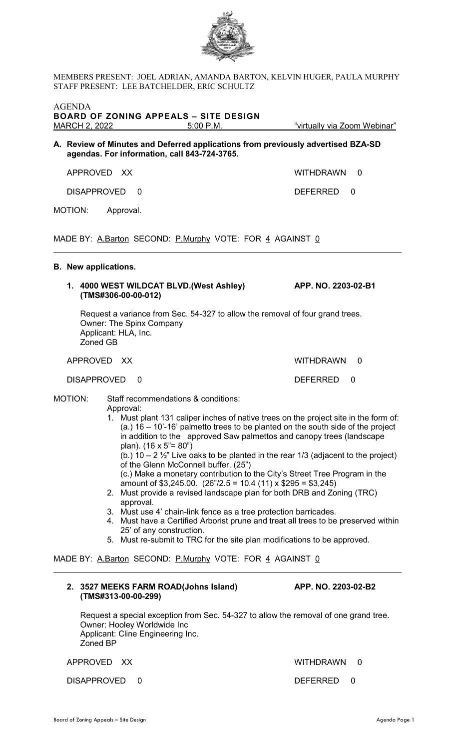

MEMBERS PRESENT: JOEL ADRIAN, AMANDA BARTON, KELVIN HUGER, PAULA MURPHY STAFF PRESENT: LEE BATCHELDER, ERIC SCHULTZ

| <b>AGENDA</b><br><b>BOARD OF ZONING APPEALS - SITE DESIGN</b>                                                                                                                                    |                                                                                                                                                      |                     |                                         |                                                                                                                                                                                                                                                                                                                                                                                                                                                                                                                                                                                                                                                                                                                                                                                                                                  |   |  |
|--------------------------------------------------------------------------------------------------------------------------------------------------------------------------------------------------|------------------------------------------------------------------------------------------------------------------------------------------------------|---------------------|-----------------------------------------|----------------------------------------------------------------------------------------------------------------------------------------------------------------------------------------------------------------------------------------------------------------------------------------------------------------------------------------------------------------------------------------------------------------------------------------------------------------------------------------------------------------------------------------------------------------------------------------------------------------------------------------------------------------------------------------------------------------------------------------------------------------------------------------------------------------------------------|---|--|
|                                                                                                                                                                                                  |                                                                                                                                                      |                     | 5:00 P.M.                               | "virtually via Zoom Webinar"                                                                                                                                                                                                                                                                                                                                                                                                                                                                                                                                                                                                                                                                                                                                                                                                     |   |  |
|                                                                                                                                                                                                  | A. Review of Minutes and Deferred applications from previously advertised BZA-SD<br>agendas. For information, call 843-724-3765.                     |                     |                                         |                                                                                                                                                                                                                                                                                                                                                                                                                                                                                                                                                                                                                                                                                                                                                                                                                                  |   |  |
|                                                                                                                                                                                                  | APPROVED XX                                                                                                                                          |                     |                                         | <b>WITHDRAWN</b>                                                                                                                                                                                                                                                                                                                                                                                                                                                                                                                                                                                                                                                                                                                                                                                                                 | 0 |  |
|                                                                                                                                                                                                  | <b>DISAPPROVED</b>                                                                                                                                   | $\Omega$            |                                         | <b>DEFERRED</b>                                                                                                                                                                                                                                                                                                                                                                                                                                                                                                                                                                                                                                                                                                                                                                                                                  | 0 |  |
|                                                                                                                                                                                                  | MOTION:                                                                                                                                              | Approval.           |                                         |                                                                                                                                                                                                                                                                                                                                                                                                                                                                                                                                                                                                                                                                                                                                                                                                                                  |   |  |
| MADE BY: A.Barton SECOND: P.Murphy VOTE: FOR 4 AGAINST 0                                                                                                                                         |                                                                                                                                                      |                     |                                         |                                                                                                                                                                                                                                                                                                                                                                                                                                                                                                                                                                                                                                                                                                                                                                                                                                  |   |  |
|                                                                                                                                                                                                  | <b>B.</b> New applications.                                                                                                                          |                     |                                         |                                                                                                                                                                                                                                                                                                                                                                                                                                                                                                                                                                                                                                                                                                                                                                                                                                  |   |  |
|                                                                                                                                                                                                  |                                                                                                                                                      | (TMS#306-00-00-012) | 1. 4000 WEST WILDCAT BLVD.(West Ashley) | APP. NO. 2203-02-B1                                                                                                                                                                                                                                                                                                                                                                                                                                                                                                                                                                                                                                                                                                                                                                                                              |   |  |
|                                                                                                                                                                                                  | Request a variance from Sec. 54-327 to allow the removal of four grand trees.<br><b>Owner: The Spinx Company</b><br>Applicant: HLA, Inc.<br>Zoned GB |                     |                                         |                                                                                                                                                                                                                                                                                                                                                                                                                                                                                                                                                                                                                                                                                                                                                                                                                                  |   |  |
|                                                                                                                                                                                                  | APPROVED XX                                                                                                                                          |                     |                                         | <b>WITHDRAWN</b>                                                                                                                                                                                                                                                                                                                                                                                                                                                                                                                                                                                                                                                                                                                                                                                                                 | 0 |  |
|                                                                                                                                                                                                  | <b>DISAPPROVED</b>                                                                                                                                   | 0                   |                                         | DEFERRED                                                                                                                                                                                                                                                                                                                                                                                                                                                                                                                                                                                                                                                                                                                                                                                                                         | 0 |  |
| <b>MOTION:</b><br>Staff recommendations & conditions:<br>Approval:<br>plan). (16 x 5"= 80")<br>approval.<br>25' of any construction.<br>MADE BY: A.Barton SECOND: P.Murphy VOTE: FOR 4 AGAINST 0 |                                                                                                                                                      |                     | of the Glenn McConnell buffer. (25")    | 1. Must plant 131 caliper inches of native trees on the project site in the form of:<br>$(a.)$ 16 – 10'-16' palmetto trees to be planted on the south side of the project<br>in addition to the approved Saw palmettos and canopy trees (landscape<br>(b.) $10 - 2\frac{1}{2}$ " Live oaks to be planted in the rear 1/3 (adjacent to the project)<br>(c.) Make a monetary contribution to the City's Street Tree Program in the<br>amount of \$3,245.00. $(26\frac{\pi}{2.5} = 10.4 (11) \times $295 = $3,245)$<br>2. Must provide a revised landscape plan for both DRB and Zoning (TRC)<br>3. Must use 4' chain-link fence as a tree protection barricades.<br>4. Must have a Certified Arborist prune and treat all trees to be preserved within<br>5. Must re-submit to TRC for the site plan modifications to be approved. |   |  |
|                                                                                                                                                                                                  |                                                                                                                                                      |                     |                                         |                                                                                                                                                                                                                                                                                                                                                                                                                                                                                                                                                                                                                                                                                                                                                                                                                                  |   |  |

Request a special exception from Sec. 54-327 to allow the removal of one grand tree. Owner: Hooley Worldwide Inc Applicant: Cline Engineering Inc. Zoned BP

APPROVED XX WITHDRAWN 0

DISAPPROVED 0 DEFERRED 0

**(TMS#313-00-00-299)** 

**2. 3527 MEEKS FARM ROAD(Johns Island) APP. NO. 2203-02-B2**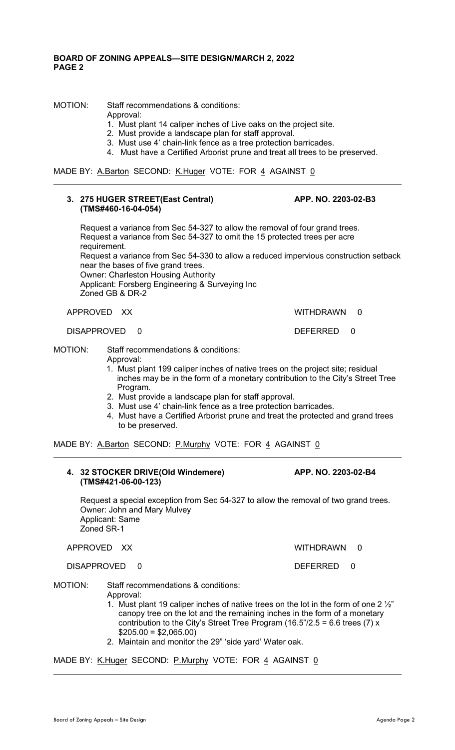## **BOARD OF ZONING APPEALS—SITE DESIGN/MARCH 2, 2022 PAGE 2**

MOTION: Staff recommendations & conditions:

- Approval:
- 1. Must plant 14 caliper inches of Live oaks on the project site.
- 2. Must provide a landscape plan for staff approval.
- 3. Must use 4' chain-link fence as a tree protection barricades.
- 4. Must have a Certified Arborist prune and treat all trees to be preserved.

MADE BY: A.Barton SECOND: K.Huger VOTE: FOR 4 AGAINST 0

## **3. 275 HUGER STREET(East Central) APP. NO. 2203-02-B3 (TMS#460-16-04-054)**

Request a variance from Sec 54-327 to allow the removal of four grand trees. Request a variance from Sec 54-327 to omit the 15 protected trees per acre requirement. Request a variance from Sec 54-330 to allow a reduced impervious construction setback near the bases of five grand trees. Owner: Charleston Housing Authority Applicant: Forsberg Engineering & Surveying Inc Zoned GB & DR-2

APPROVED XX WITHDRAWN 0

 $\overline{a}$ 

 $\overline{a}$ 

 $\overline{a}$ 

DISAPPROVED 0 DEFERRED 0

MOTION: Staff recommendations & conditions:

Approval:

1. Must plant 199 caliper inches of native trees on the project site; residual inches may be in the form of a monetary contribution to the City's Street Tree Program.

- 2. Must provide a landscape plan for staff approval.
- 3. Must use 4' chain-link fence as a tree protection barricades.
- 4. Must have a Certified Arborist prune and treat the protected and grand trees to be preserved.

MADE BY: A.Barton SECOND: P.Murphy VOTE: FOR 4 AGAINST 0

## **4. 32 STOCKER DRIVE(Old Windemere) APP. NO. 2203-02-B4 (TMS#421-06-00-123)**

Request a special exception from Sec 54-327 to allow the removal of two grand trees. Owner: John and Mary Mulvey Applicant: Same Zoned SR-1

APPROVED XX WITHDRAWN 0

DISAPPROVED 0 DEFERRED 0

MOTION: Staff recommendations & conditions: Approval:

- 1. Must plant 19 caliper inches of native trees on the lot in the form of one 2  $\frac{1}{2}$ " canopy tree on the lot and the remaining inches in the form of a monetary contribution to the City's Street Tree Program (16.5"/2.5 = 6.6 trees (7)  $\overline{x}$  $$205.00 = $2,065.00$
- 2. Maintain and monitor the 29" 'side yard' Water oak.

MADE BY: K.Huger SECOND: P.Murphy VOTE: FOR 4 AGAINST 0